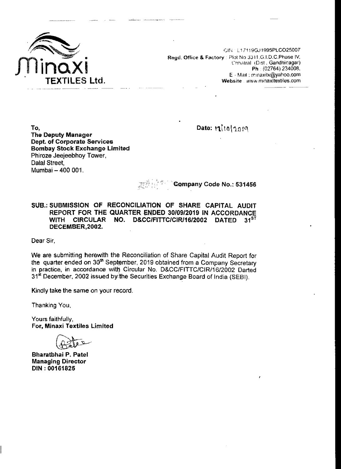

CIN ~ L17119GJ1995PLCO25007 Regd. Office & Factory : Plot No 3311 ,G.I.D.C. Phase IV, Chhatral (Dist. Gandhinagar) Ph (02764) 234008, E - Mail: minaxitx@yahoo.com Website www.minaxitextiles.com

Date: 12/10/2019

To. The Deputy Manager Dept. of Corporate Services Bombay Stock Exchange Limited Phiroze Jeejeebhoy Tower, Dalal Street, Mumbai - 400 001.

### Company Code No.: 531456

SUB.: SUBMISSION OF RECONCILIATION OF SHARE CAPITAL AUDIT REPORT FOR THE QUARTER ENDED 30/09/2019 IN ACCORDANCE<br>WITH CIRCULAR NO. D&CC/FITTC/CIR/16/2002 DATED 31<sup>ST</sup> WITH CIRCULAR NO. D&CC/FITTC/CIR/16/2002 DATED DECEMBER,2002.

Dear Sir,

We are submitting herewith the Reconciliation of Share Capital Audit Report for the quarter ended on 30<sup>th</sup> September, 2019 obtained from a Company Secretary in practice, in accordance with Circular No. D&CC/FITTC/CIR/16/2002 Darted 31<sup>st</sup> December, 2002 issued by the Securities Exchange Board of India (SEBI).

Kindly take the same on your record.

Thanking You,

Yours faithfully, For, Minaxi Textiles Limited

Bharatbhai P. Patel Managing Director DIN : 00161825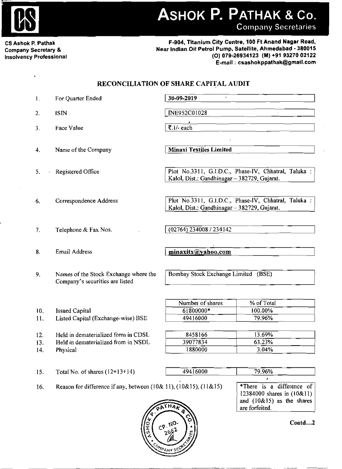

# ASHOK P. PATHAK & Co.

**Company Secretaries** 

CS Ashok P. Pathak **Company Secretary & Insolvency Professional** 

í.

F-904, Titanium City Centre, 100 Ft Anand Nagar Road, Near Indian Oil Petrol Pump, Satellite, Ahmedabad - 380015 (O) 079-26934123 (M) +91 93270 02122 E-mail: csashokppathak@gmail.com

## RECONCILIATION OF SHARE CAPITAL AUDIT

| 1.  | For Quarter Ended                                                             | 30-09-2019                                                                                           |                                                                                                          |
|-----|-------------------------------------------------------------------------------|------------------------------------------------------------------------------------------------------|----------------------------------------------------------------------------------------------------------|
| 2.  | <b>ISIN</b>                                                                   | INE952C01028                                                                                         |                                                                                                          |
| 3.  | <b>Face Value</b>                                                             | ₹.1/- each                                                                                           |                                                                                                          |
| 4.  | Name of the Company                                                           | <b>Minaxi Textiles Limited</b>                                                                       |                                                                                                          |
| 5.  | Registered Office                                                             | Plot No.3311, G.I.D.C., Phase-IV, Chhatral, Taluka :<br>Kalol, Dist.: Gandhinagar - 382729, Gujarat. |                                                                                                          |
| 6.  | Correspondence Address                                                        | Plot No.3311, G.I.D.C., Phase-IV, Chhatral, Taluka :<br>Kalol, Dist.: Gandhinagar - 382729, Gujarat. |                                                                                                          |
| 7.  | Telephone & Fax Nos.                                                          | (02764) 234008 / 234142                                                                              |                                                                                                          |
| 8.  | Email Address                                                                 | minaxitx@yahoo.com                                                                                   |                                                                                                          |
| 9.  | Names of the Stock Exchange where the<br>Company's securities are listed      | Bombay Stock Exchange Limited (BSE)                                                                  |                                                                                                          |
|     |                                                                               | Number of shares                                                                                     | % of Total                                                                                               |
| 10. | <b>Issued Capital</b>                                                         | 61800000*                                                                                            | 100.00%                                                                                                  |
| 11. | Listed Capital (Exchange-wise) BSE                                            | 49416000                                                                                             | 79.96%                                                                                                   |
| 12. | Held in dematerialized form in CDSL                                           | 8458166                                                                                              | 13.69%                                                                                                   |
| 13. | Held in dematerialized from in NSDL                                           | 39077834                                                                                             | 63.23%                                                                                                   |
| 14. | Physical                                                                      | 1880000                                                                                              | 3.04%                                                                                                    |
|     |                                                                               |                                                                                                      |                                                                                                          |
| 15. | Total No. of shares $(12+13+14)$                                              | 49416000                                                                                             | 79.96%                                                                                                   |
| 16. | Reason for difference if any, between $(10 & 11)$ , $(10 & 15)$ , $(11 & 15)$ |                                                                                                      | *There is a difference of<br>12384000 shares in (10&11)<br>and $(10&15)$ as the shares<br>are forfeited. |



Coutd...2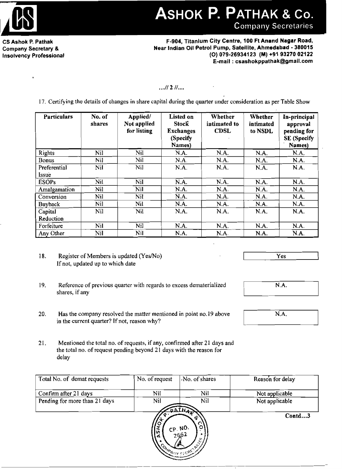

ASHOK P. PATHAK & Co. **Company Secretaries** 

CS Ashok P.Pathak Company Secretary & Insolvency Professional

F-904, Titanium City Centre, 100 Ft Anand Nagar Road, Near Indian Oil Petrol Pump, Satellite, Ahmedabad - 380015 (0) 079·26934123 (M) +91 9327002122 E-mail: csashokppathak@gmail.com

#### $...$ // 2  $1...$

17. Certifying the details of changes in share capital during the quarter under consideration as per Table Show

| <b>Particulars</b>    | No. of<br>shares | Applied/<br>Not applied<br>for listing | Listed on<br>Stock<br><b>Exchanges</b><br>(Specify<br>Names) | Whether<br>intimated to<br><b>CDSL</b> | Whether<br>intimated<br>to NSDL | In-principal<br>approval<br>pending for<br><b>SE</b> (Specify<br>Names) |
|-----------------------|------------------|----------------------------------------|--------------------------------------------------------------|----------------------------------------|---------------------------------|-------------------------------------------------------------------------|
| Rights                | Nil              | Nil                                    | N.A.                                                         | N.A.                                   | N.A.                            | N.A.                                                                    |
| <b>Bonus</b>          | Nil              | Nil                                    | N.A.                                                         | N.A.                                   | N.A.                            | N.A.                                                                    |
| Preferential<br>Issue | Nil              | Nil                                    | N.A.                                                         | N.A.                                   | N.A.                            | N.A.                                                                    |
| <b>ESOPs</b>          | Nil              | Nil                                    | N.A.                                                         | N.A.                                   | N.A.                            | N.A.                                                                    |
| Amalgamation          | Nil              | <b>Nil</b>                             | N.A.                                                         | N.A.                                   | N.A.                            | N.A.                                                                    |
| Conversion            | Nil              | Nil                                    | N.A.                                                         | N.A.                                   | N.A.                            | N.A.                                                                    |
| <b>Buyback</b>        | Nil              | Nil                                    | N.A.                                                         | N.A.                                   | N.A.                            | N.A.                                                                    |
| Capital<br>Reduction  | Nil              | Nil                                    | N.A.                                                         | N.A.                                   | N.A.                            | N.A.                                                                    |
| Forfeiture            | Nil              | Nil                                    | N.A.                                                         | N.A.                                   | N.A.                            | N.A.                                                                    |
| Any Other             | Nil              | Nil                                    | N.A.                                                         | N.A.                                   | N.A.                            | N.A.                                                                    |

18. Register of Members is updated (Yes/No) If not, updated up to which date

Yes

N.A.

N.A.<br>
N.A. N.A.

------..J

- 19. Reference of previous quarter with regards to excess dematerialized shares, if any
- 20. Has the company resolved the matter mentioned in point no.19 above in the current quarter? If not, reason why?
- 21. Mentioned the total no. of requests, ifany, confirmed after 21 days and the total no. of request pending beyond 21 days with the reason for delay

| Total No. of demat requests   | No. of request                 | No. of shares                                                  | Reason for delay |
|-------------------------------|--------------------------------|----------------------------------------------------------------|------------------|
| Confirm after 21 days         | Nil                            | Nil                                                            | Not applicable   |
| Pending for more than 21 days | Nil                            | Nil                                                            | Not applicable   |
|                               | <b>SHO</b><br><b>NONDATION</b> | <b>CATHAN</b><br>œ<br>$C_{2662}^{P, NO.}$<br>O<br>٠<br>ь.<br>ई | Contd3           |